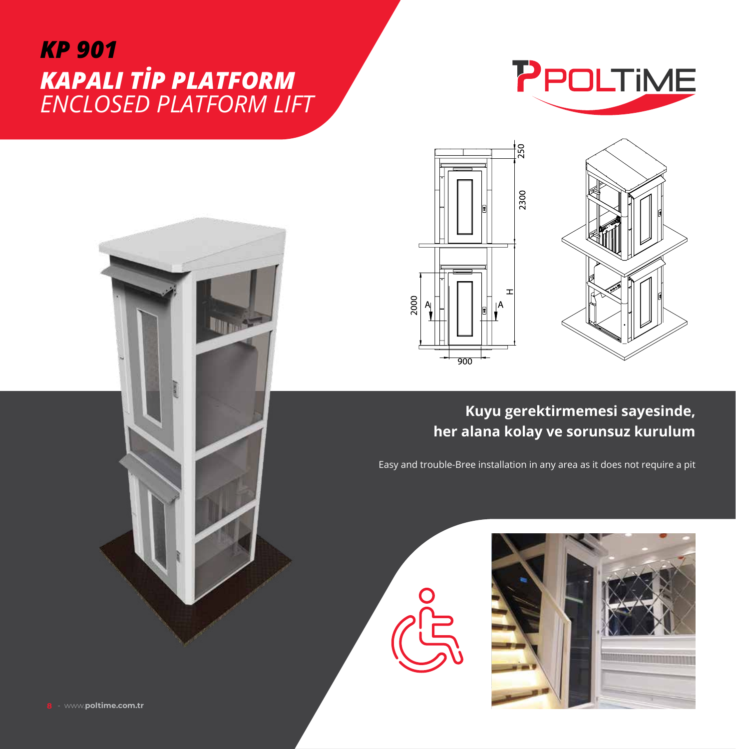## *KP 901 KAPALI TİP PLATFORM ENCLOSED PLATFORM LIFT*

**The mage** 







## **Kuyu gerektirmemesi sayesinde, her alana kolay ve sorunsuz kurulum**

Easy and trouble-Bree installation in any area as it does not require a pit



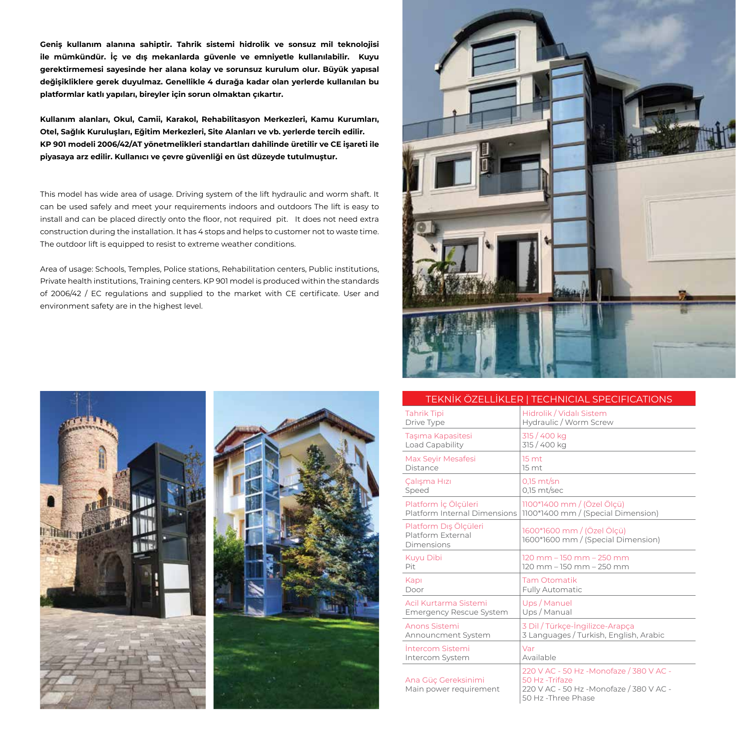**Geniş kullanım alanına sahiptir. Tahrik sistemi hidrolik ve sonsuz mil teknolojisi ile mümkündür. İç ve dış mekanlarda güvenle ve emniyetle kullanılabilir. Kuyu gerektirmemesi sayesinde her alana kolay ve sorunsuz kurulum olur. Büyük yapısal değişikliklere gerek duyulmaz. Genellikle 4 durağa kadar olan yerlerde kullanılan bu platformlar katlı yapıları, bireyler için sorun olmaktan çıkartır.** 

**Kullanım alanları, Okul, Camii, Karakol, Rehabilitasyon Merkezleri, Kamu Kurumları, Otel, Sağlık Kuruluşları, Eğitim Merkezleri, Site Alanları ve vb. yerlerde tercih edilir. KP 901 modeli 2006/42/AT yönetmelikleri standartları dahilinde üretilir ve CE işareti ile piyasaya arz edilir. Kullanıcı ve çevre güvenliği en üst düzeyde tutulmuştur.**

This model has wide area of usage. Driving system of the lift hydraulic and worm shaft. It can be used safely and meet your requirements indoors and outdoors The lift is easy to install and can be placed directly onto the floor, not required pit. It does not need extra construction during the installation. It has 4 stops and helps to customer not to waste time. The outdoor lift is equipped to resist to extreme weather conditions.

Area of usage: Schools, Temples, Police stations, Rehabilitation centers, Public institutions, Private health institutions, Training centers. KP 901 model is produced within the standards of 2006/42 / EC regulations and supplied to the market with CE certificate. User and environment safety are in the highest level.







## TEKNİK ÖZELLİKLER | TECHNICIAL SPECIFICATIONS

| <b>Tahrik Tipi</b>                                       | Hidrolik / Vidalı Sistem                                                                                                     |
|----------------------------------------------------------|------------------------------------------------------------------------------------------------------------------------------|
| Drive Type                                               | Hydraulic / Worm Screw                                                                                                       |
| Taşıma Kapasitesi                                        | 315 / 400 kg                                                                                                                 |
| Load Capability                                          | 315 / 400 kg                                                                                                                 |
| <b>Max Seyir Mesafesi</b>                                | 15 <sub>mt</sub>                                                                                                             |
| Distance                                                 | 15 mt                                                                                                                        |
| Çalışma Hızı                                             | $0.15$ mt/sn                                                                                                                 |
| Speed                                                    | $0.15$ mt/sec                                                                                                                |
| Platform İç Ölçüleri                                     | 1100*1400 mm / (Özel Ölçü)                                                                                                   |
| Platform Internal Dimensions                             | 1100*1400 mm / (Special Dimension)                                                                                           |
| Platform Dış Ölçüleri<br>Platform External<br>Dimensions | 1600*1600 mm / (Özel Ölçü)<br>1600*1600 mm / (Special Dimension)                                                             |
| <b>Kuyu Dibi</b>                                         | 120 mm - 150 mm - 250 mm                                                                                                     |
| Pit                                                      | 120 mm - 150 mm - 250 mm                                                                                                     |
| Kapı                                                     | <b>Tam Otomatik</b>                                                                                                          |
| Door                                                     | <b>Fully Automatic</b>                                                                                                       |
| Acil Kurtarma Sistemi                                    | Ups / Manuel                                                                                                                 |
| <b>Emergency Rescue System</b>                           | Ups / Manual                                                                                                                 |
| Anons Sistemi                                            | 3 Dil / Türkçe-İngilizce-Arapça                                                                                              |
| Announcment System                                       | 3 Languages / Turkish, English, Arabic                                                                                       |
| Intercom Sistemi                                         | Var                                                                                                                          |
| Intercom System                                          | Available                                                                                                                    |
| Ana Güç Gereksinimi<br>Main power requirement            | 220 V AC - 50 Hz - Monofaze / 380 V AC -<br>50 Hz -Trifaze<br>220 V AC - 50 Hz -Monofaze / 380 V AC -<br>50 Hz - Three Phase |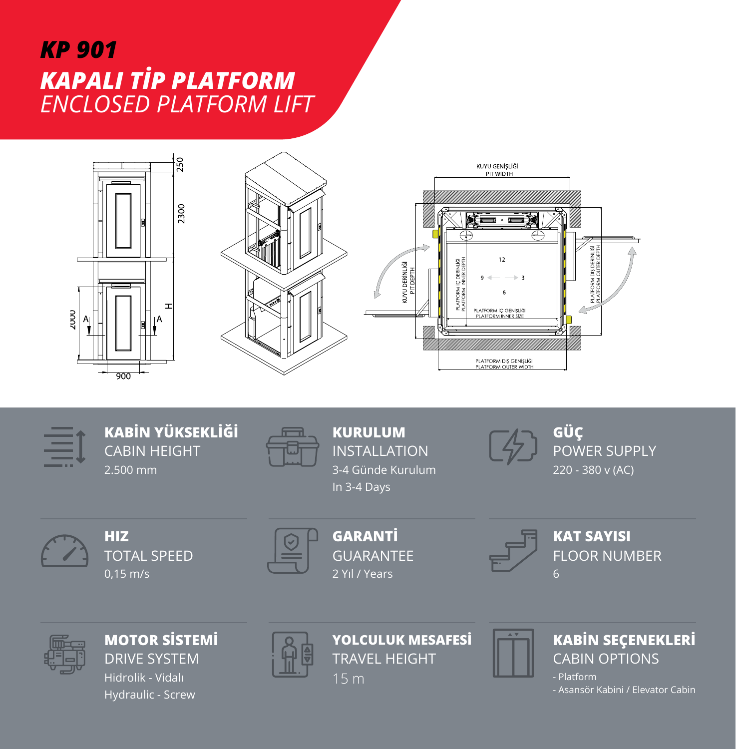## *KP 901 KAPALI TİP PLATFORM ENCLOSED PLATFORM LIFT*





**KABİN YÜKSEKLİĞİ** CABIN HEIGHT 2.500 mm



**KURULUM** INSTALLATION 3-4 Günde Kurulum In 3-4 Days



**GÜÇ** POWER SUPPLY 220 - 380 v (AC)

TOTAL SPEED **HIZ** 0,15 m/s



GUARANTEE **GARANTİ** 2 Yıl / Years



FLOOR NUMBER **KAT SAYISI** 6



DRIVE SYSTEM **MOTOR SİSTEMİ** Hidrolik - Vidalı Hydraulic - Screw



TRAVEL HEIGHT **YOLCULUK MESAFESİ** 15 m



CABIN OPTIONS **KABİN SEÇENEKLERİ**

- Platform - Asansör Kabini / Elevator Cabin